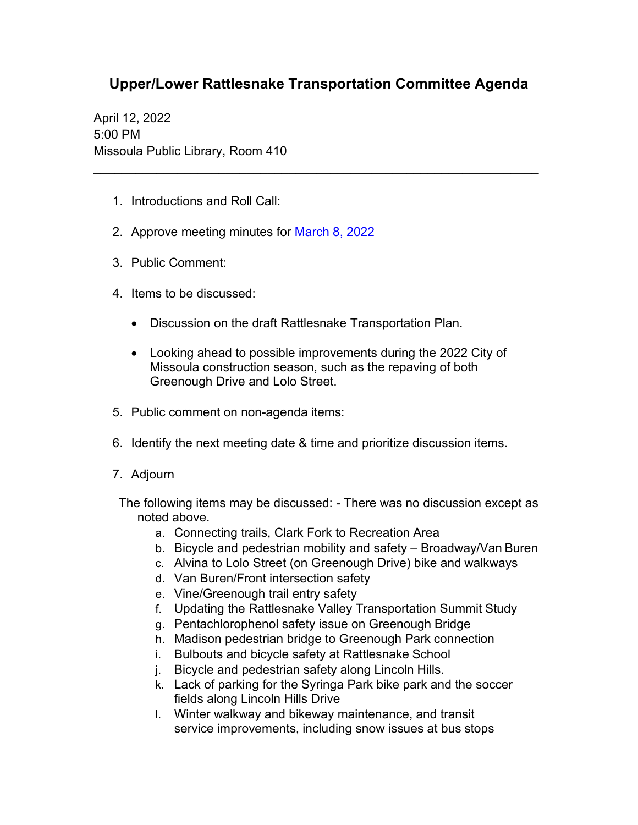## **Upper/Lower Rattlesnake Transportation Committee Agenda**

\_\_\_\_\_\_\_\_\_\_\_\_\_\_\_\_\_\_\_\_\_\_\_\_\_\_\_\_\_\_\_\_\_\_\_\_\_\_\_\_\_\_\_\_\_\_\_\_\_\_\_\_\_\_\_\_\_\_\_\_\_\_\_\_

April 12, 2022 5:00 PM Missoula Public Library, Room 410

- 1. Introductions and Roll Call:
- 2. Approve meeting minutes for March [8, 2022](https://www.ci.missoula.mt.us/Archive.aspx?ADID=16634)
- 3. Public Comment:
- 4. Items to be discussed:
	- Discussion on the draft Rattlesnake Transportation Plan.
	- Looking ahead to possible improvements during the 2022 City of Missoula construction season, such as the repaving of both Greenough Drive and Lolo Street.
- 5. Public comment on non-agenda items:
- 6. Identify the next meeting date & time and prioritize discussion items.
- 7. Adjourn
- The following items may be discussed: There was no discussion except as noted above.
	- a. Connecting trails, Clark Fork to Recreation Area
	- b. Bicycle and pedestrian mobility and safety Broadway/Van Buren
	- c. Alvina to Lolo Street (on Greenough Drive) bike and walkways
	- d. Van Buren/Front intersection safety
	- e. Vine/Greenough trail entry safety
	- f. Updating the Rattlesnake Valley Transportation Summit Study
	- g. Pentachlorophenol safety issue on Greenough Bridge
	- h. Madison pedestrian bridge to Greenough Park connection
	- i. Bulbouts and bicycle safety at Rattlesnake School
	- j. Bicycle and pedestrian safety along Lincoln Hills.
	- k. Lack of parking for the Syringa Park bike park and the soccer fields along Lincoln Hills Drive
	- l. Winter walkway and bikeway maintenance, and transit service improvements, including snow issues at bus stops